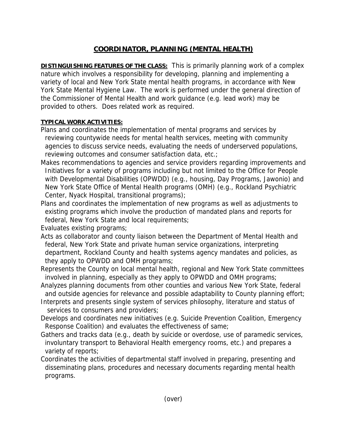## **COORDINATOR, PLANNING (MENTAL HEALTH)**

**DISTINGUISHING FEATURES OF THE CLASS:** This is primarily planning work of a complex nature which involves a responsibility for developing, planning and implementing a variety of local and New York State mental health programs, in accordance with New York State Mental Hygiene Law. The work is performed under the general direction of the Commissioner of Mental Health and work guidance (e.g. lead work) may be provided to others. Does related work as required.

## **TYPICAL WORK ACTIVITIES:**

- Plans and coordinates the implementation of mental programs and services by reviewing countywide needs for mental health services, meeting with community agencies to discuss service needs, evaluating the needs of underserved populations, reviewing outcomes and consumer satisfaction data, etc.;
- Makes recommendations to agencies and service providers regarding improvements and Initiatives for a variety of programs including but not limited to the Office for People with Developmental Disabilities (OPWDD) (e.g., housing, Day Programs, Jawonio) and New York State Office of Mental Health programs (OMH) (e.g., Rockland Psychiatric Center, Nyack Hospital, transitional programs);
- Plans and coordinates the implementation of new programs as well as adjustments to existing programs which involve the production of mandated plans and reports for federal, New York State and local requirements;

Evaluates existing programs;

- Acts as collaborator and county liaison between the Department of Mental Health and federal, New York State and private human service organizations, interpreting department, Rockland County and health systems agency mandates and policies, as they apply to OPWDD and OMH programs;
- Represents the County on local mental health, regional and New York State committees involved in planning, especially as they apply to OPWDD and OMH programs;
- Analyzes planning documents from other counties and various New York State, federal and outside agencies for relevance and possible adaptability to County planning effort;
- Interprets and presents single system of services philosophy, literature and status of services to consumers and providers;
- Develops and coordinates new initiatives (e.g. Suicide Prevention Coalition, Emergency Response Coalition) and evaluates the effectiveness of same;
- Gathers and tracks data (e.g., death by suicide or overdose, use of paramedic services, involuntary transport to Behavioral Health emergency rooms, etc.) and prepares a variety of reports;
- Coordinates the activities of departmental staff involved in preparing, presenting and disseminating plans, procedures and necessary documents regarding mental health programs.